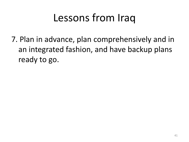# Lessons from Iraq

7. Plan in advance, plan comprehensively and in an integrated fashion, and have backup plans ready to go.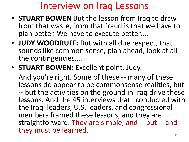### Interview on Iraq Lessons

- **STUART BOWEN** But the lesson from Iraq to draw from that waste, from that fraud is that we have to plan better. We have to execute better….
- **JUDY WOODRUFF:** But with all due respect, that sounds like common sense, plan ahead, look at all the contingencies….
- **STUART BOWEN:** Excellent point, Judy.

And you're right. Some of these -- many of these lessons do appear to be commonsense realities, but -- but the activities on the ground in Iraq drive these lessons. And the 45 interviews that I conducted with the Iraqi leaders, U.S. leaders, and congressional members framed these lessons, and they are straightforward. They are simple, and -- but -- and they must be learned.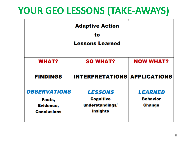### **YOUR GEO LESSONS (TAKE-AWAYS)**

| <b>Adaptive Action</b><br>to<br><b>Lessons Learned</b>           |                                                                   |                                                    |
|------------------------------------------------------------------|-------------------------------------------------------------------|----------------------------------------------------|
| <b>WHAT?</b>                                                     | <b>SO WHAT?</b>                                                   | <b>NOW WHAT?</b>                                   |
| <b>FINDINGS</b>                                                  | <b>INTERPRETATIONS APPLICATIONS</b>                               |                                                    |
| <b>OBSERVATIONS</b><br>Facts,<br>Evidence,<br><b>Conclusions</b> | <b>LESSONS</b><br><b>Cognitive</b><br>understandings/<br>insights | <b>LEARNED</b><br><b>Behavior</b><br><b>Change</b> |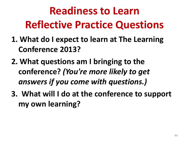# **Readiness to Learn Reflective Practice Questions**

- **1. What do I expect to learn at The Learning Conference 2013?**
- **2. What questions am I bringing to the conference?** *(You're more likely to get answers if you come with questions.)*
- **3. What will I do at the conference to support my own learning?**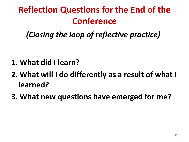## **Reflection Questions for the End of the Conference**

*(Closing the loop of reflective practice)*

- **1. What did I learn?**
- **2. What will I do differently as a result of what I learned?**
- **3. What new questions have emerged for me?**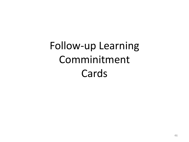Follow-up Learning Comminitment Cards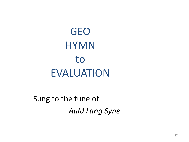# GEO **HYMN** to EVALUATION

Sung to the tune of *Auld Lang Syne*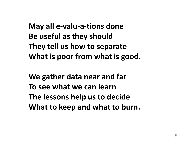**May all e-valu-a-tions done Be useful as they should They tell us how to separate What is poor from what is good.**

**We gather data near and far To see what we can learn The lessons help us to decide What to keep and what to burn.**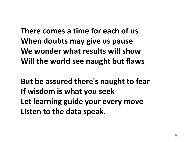**There comes a time for each of us When doubts may give us pause We wonder what results will show Will the world see naught but flaws**

**But be assured there's naught to fear If wisdom is what you seek Let learning guide your every move Listen to the data speak.**